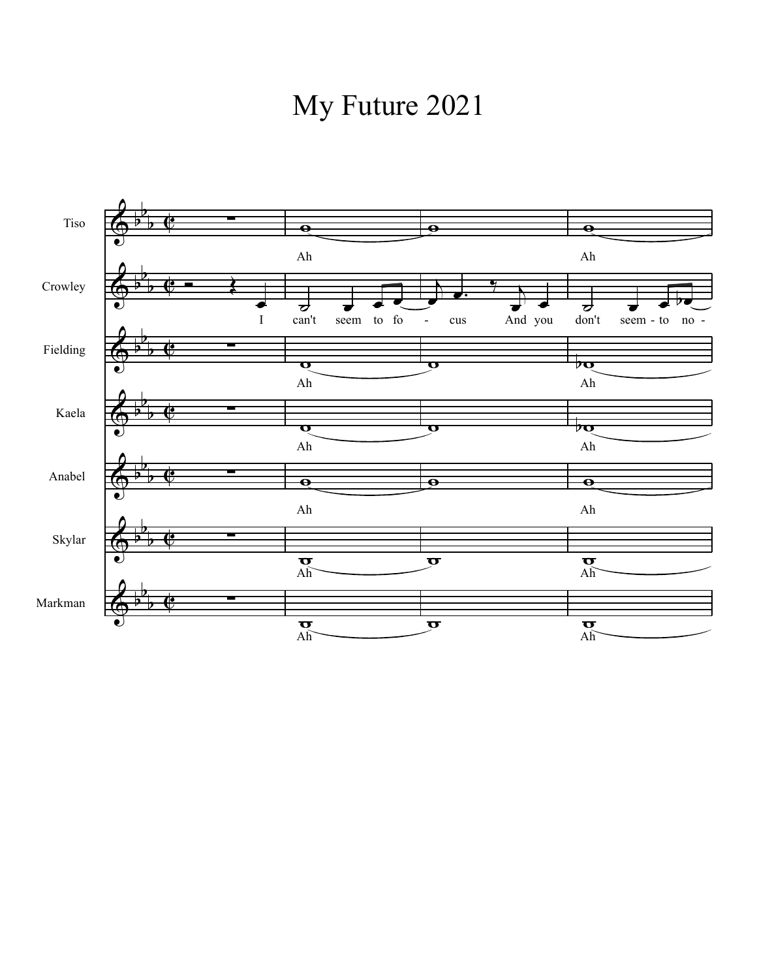## My Future 2021

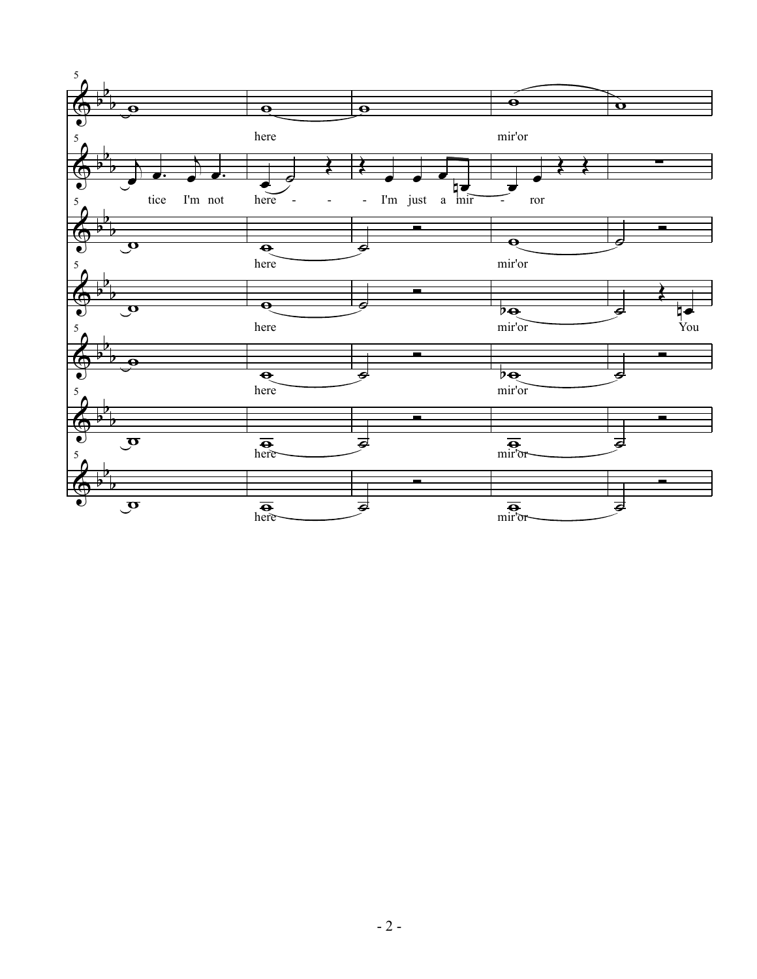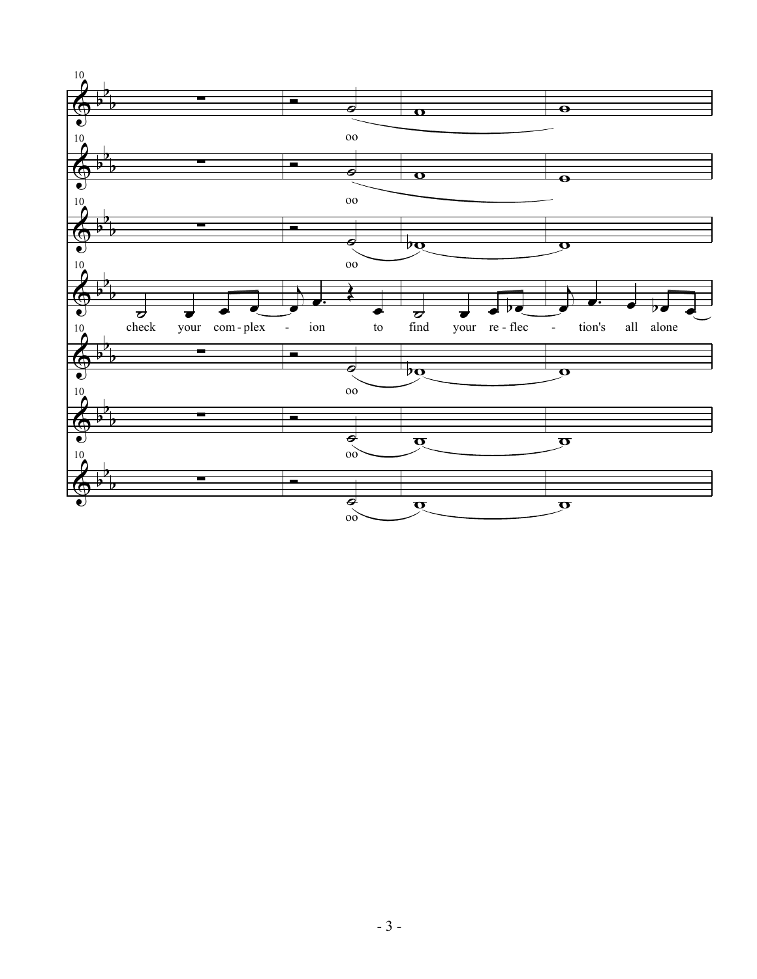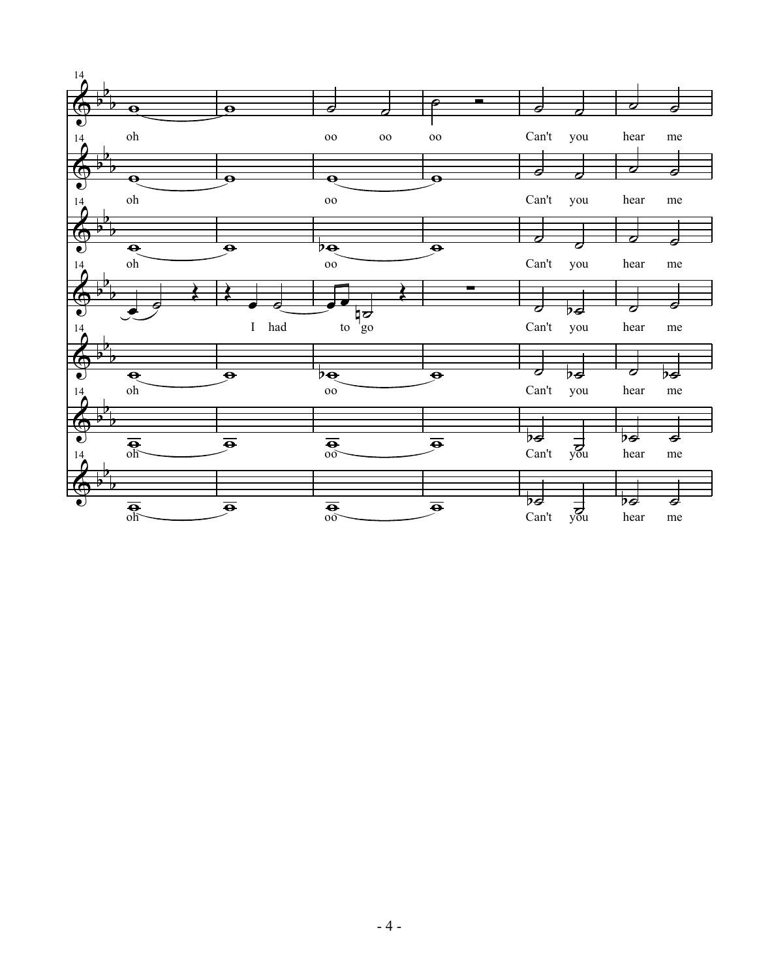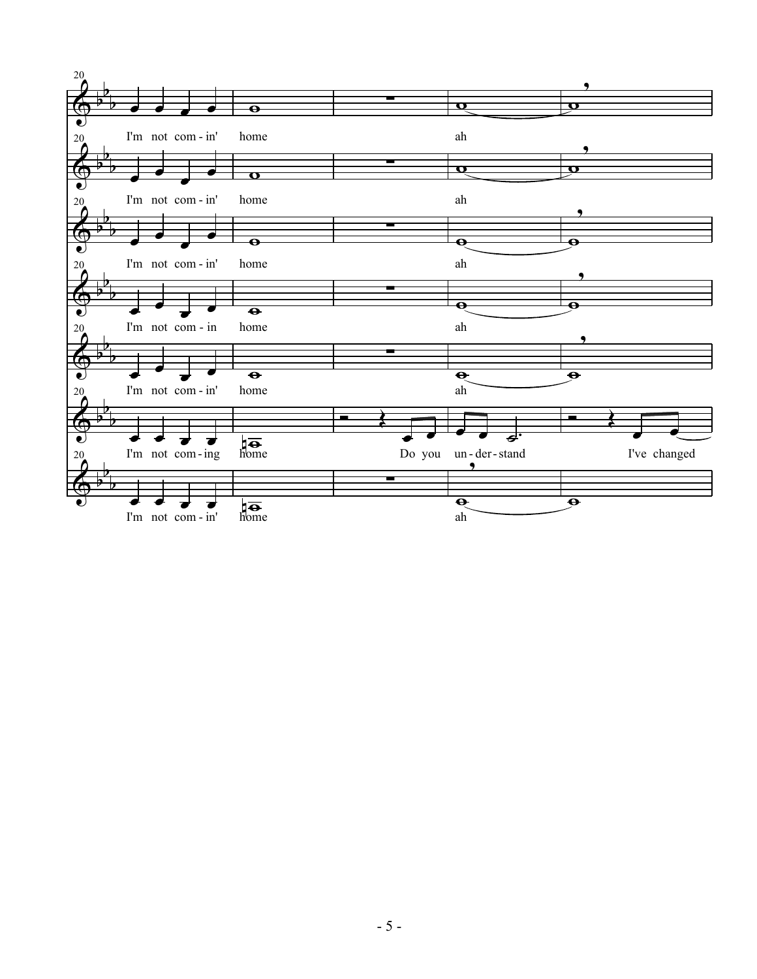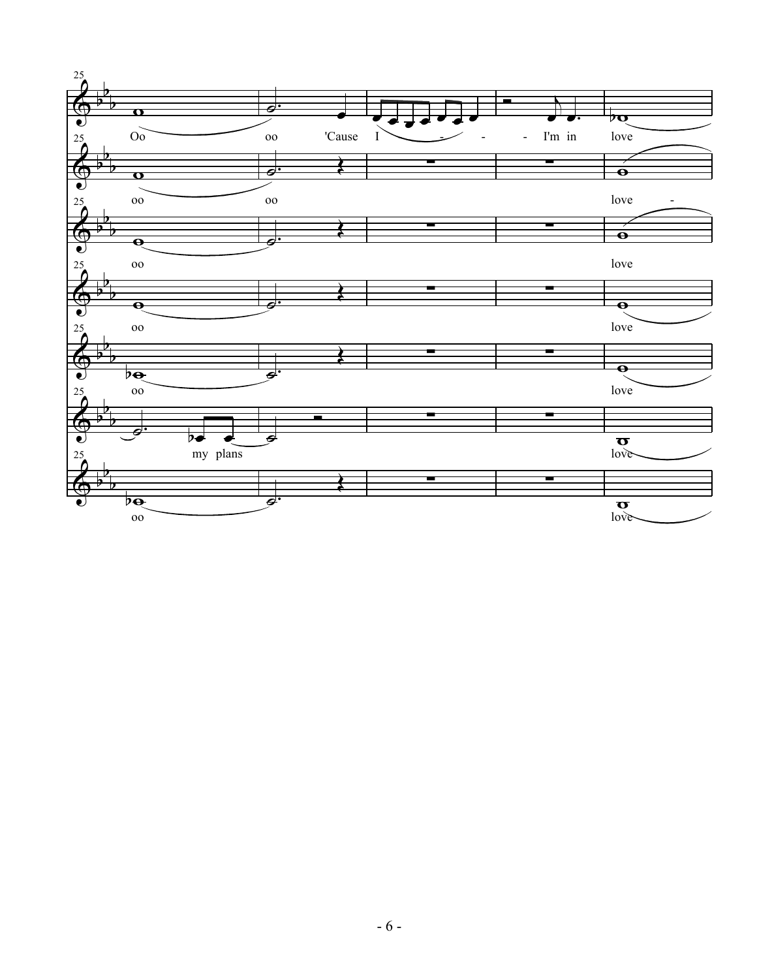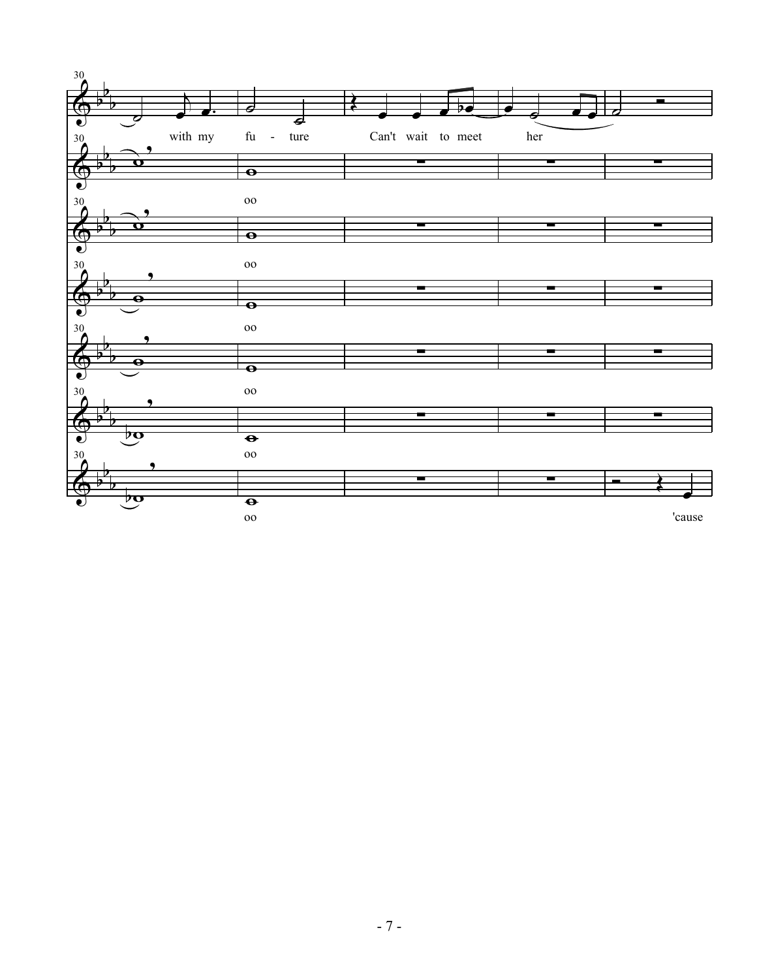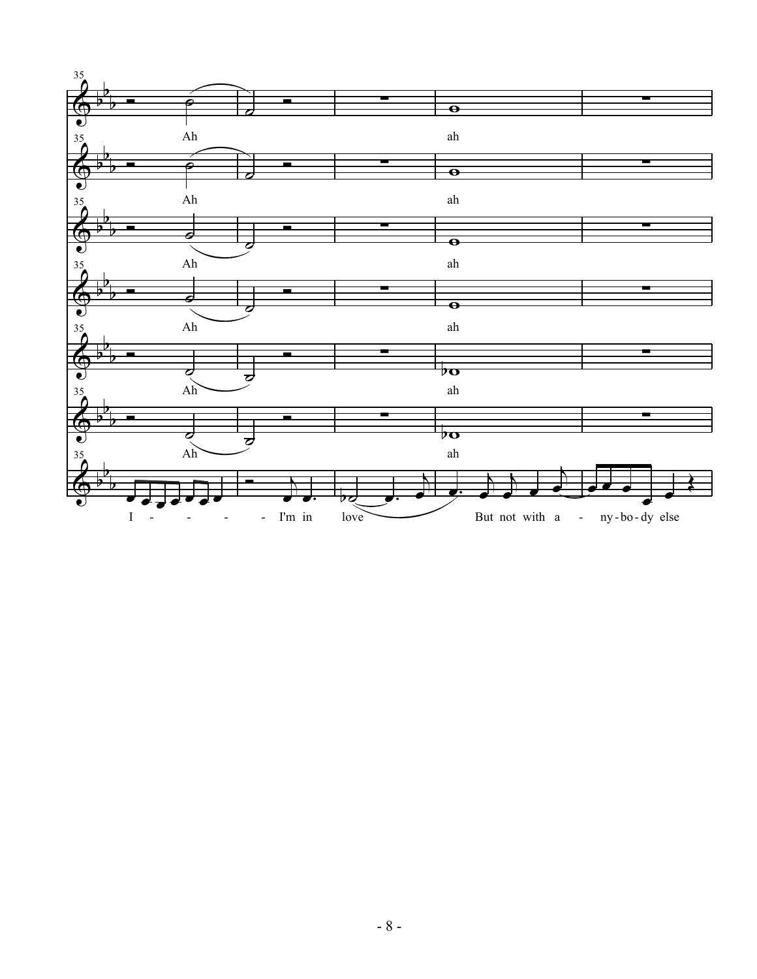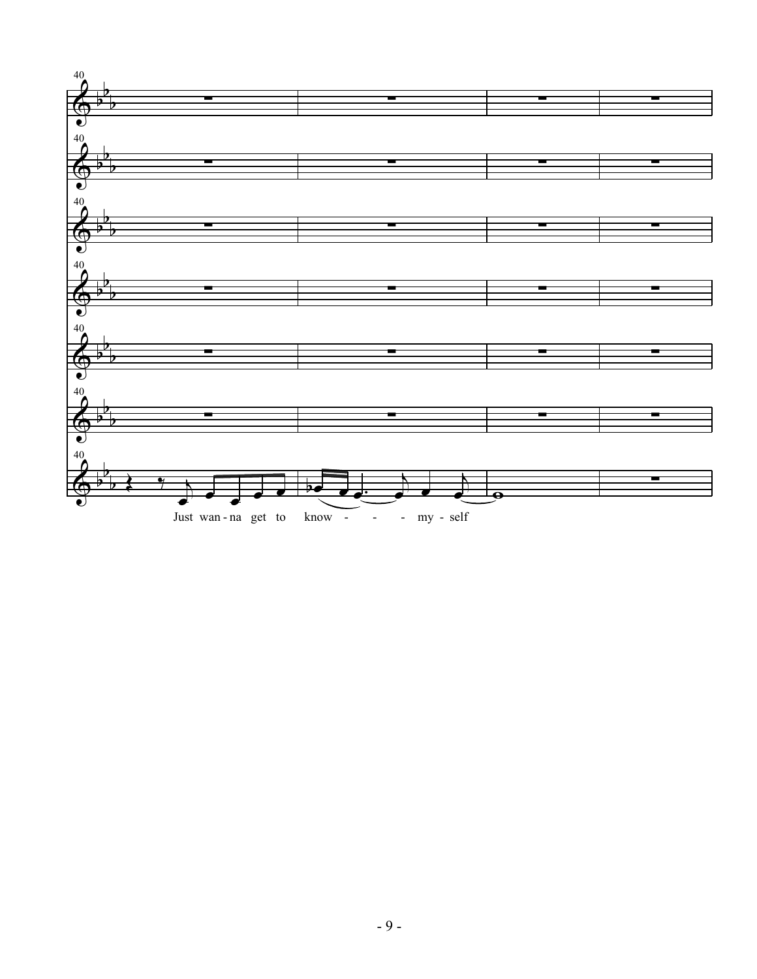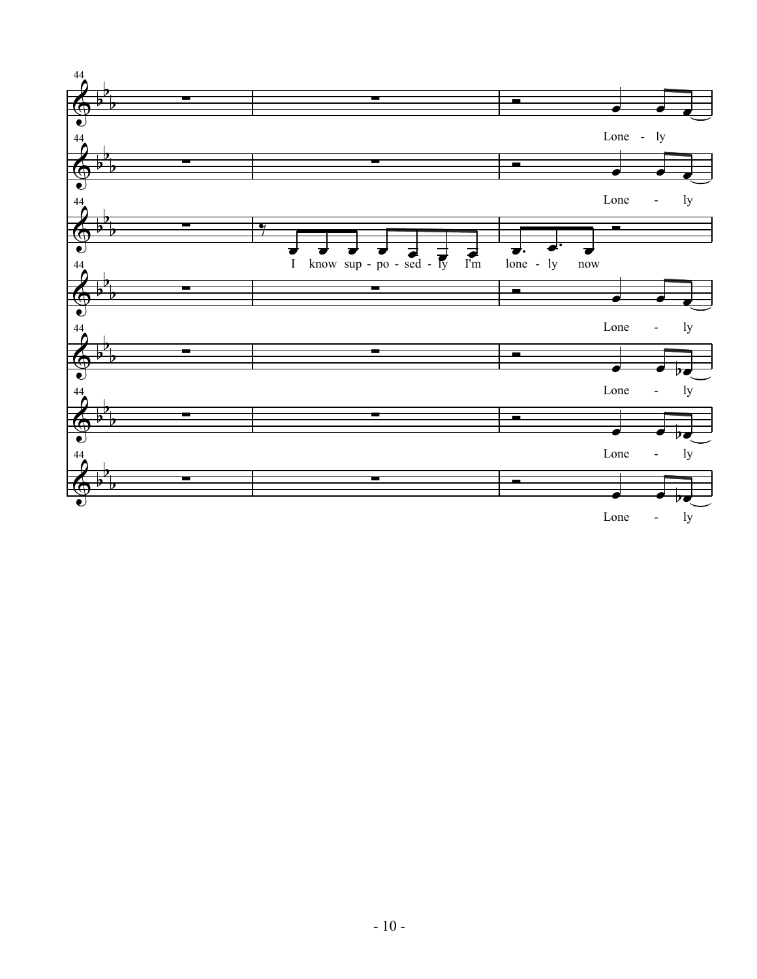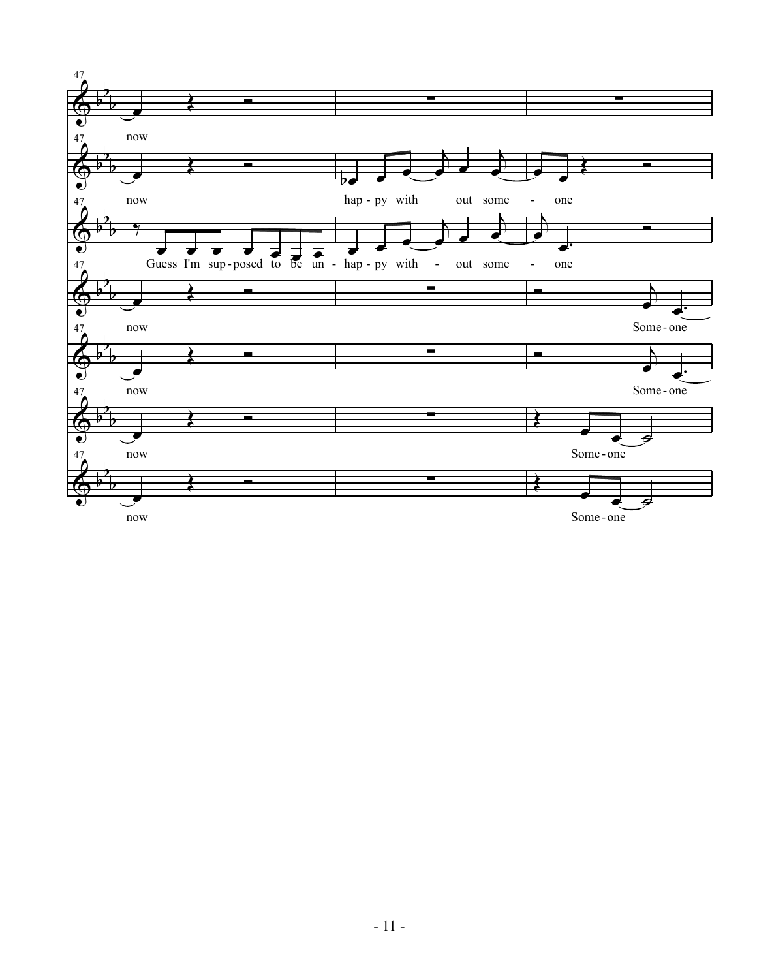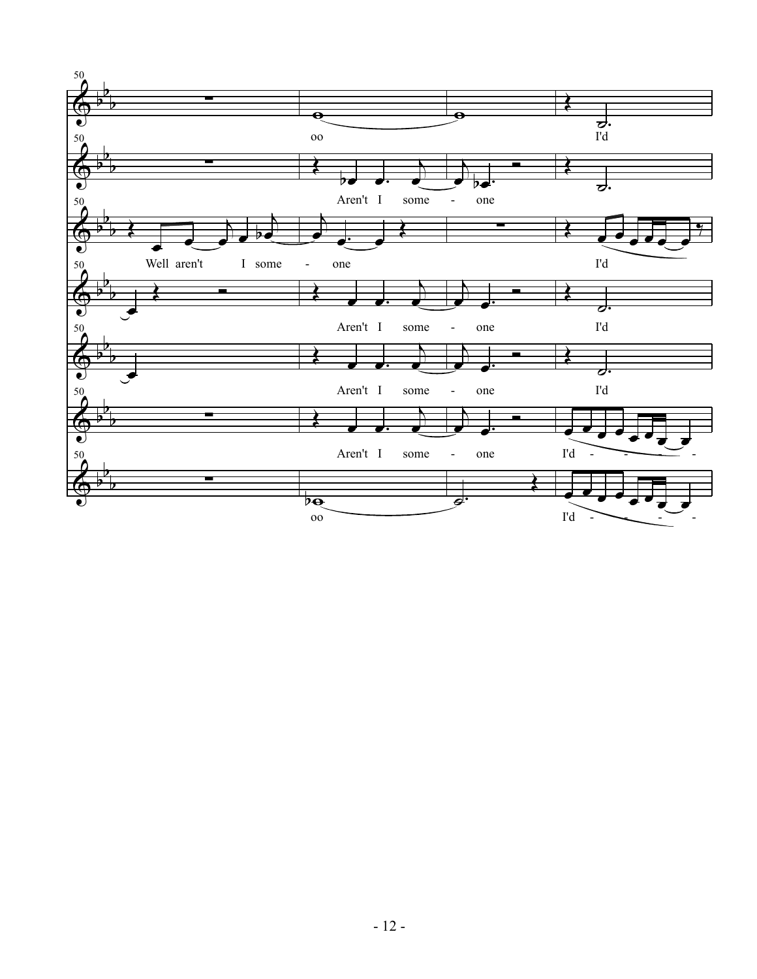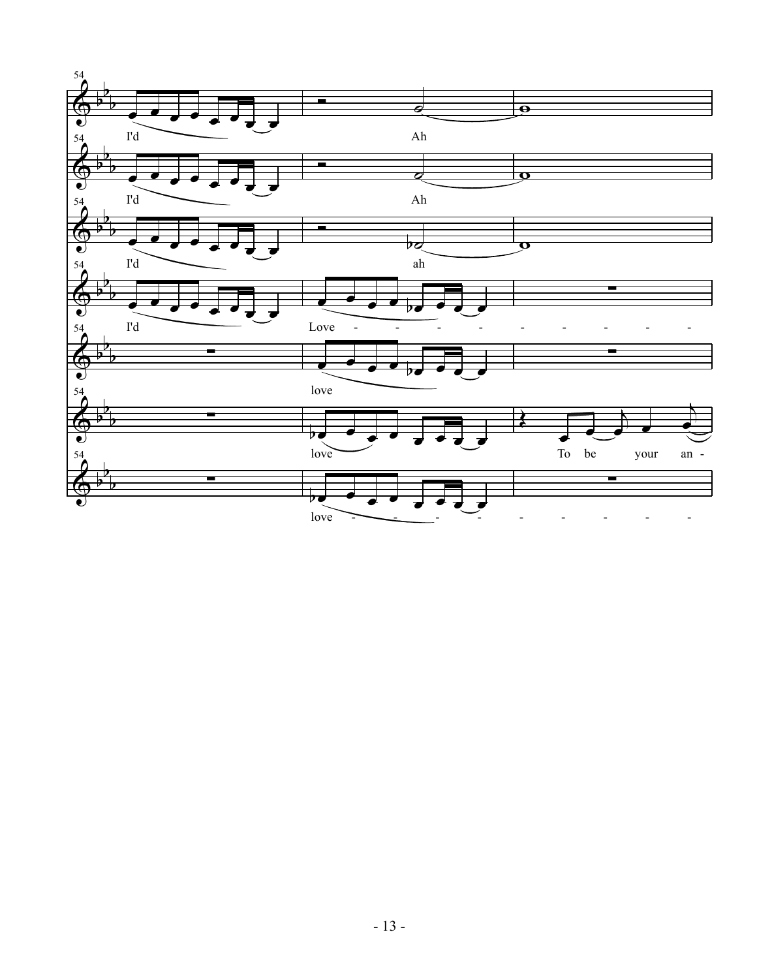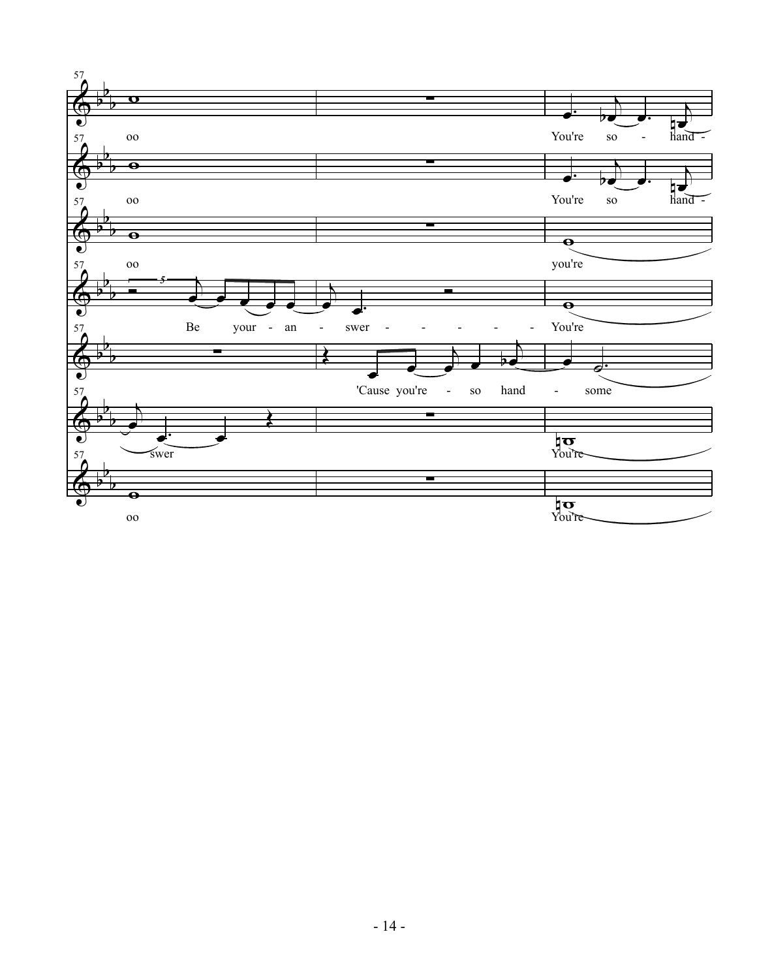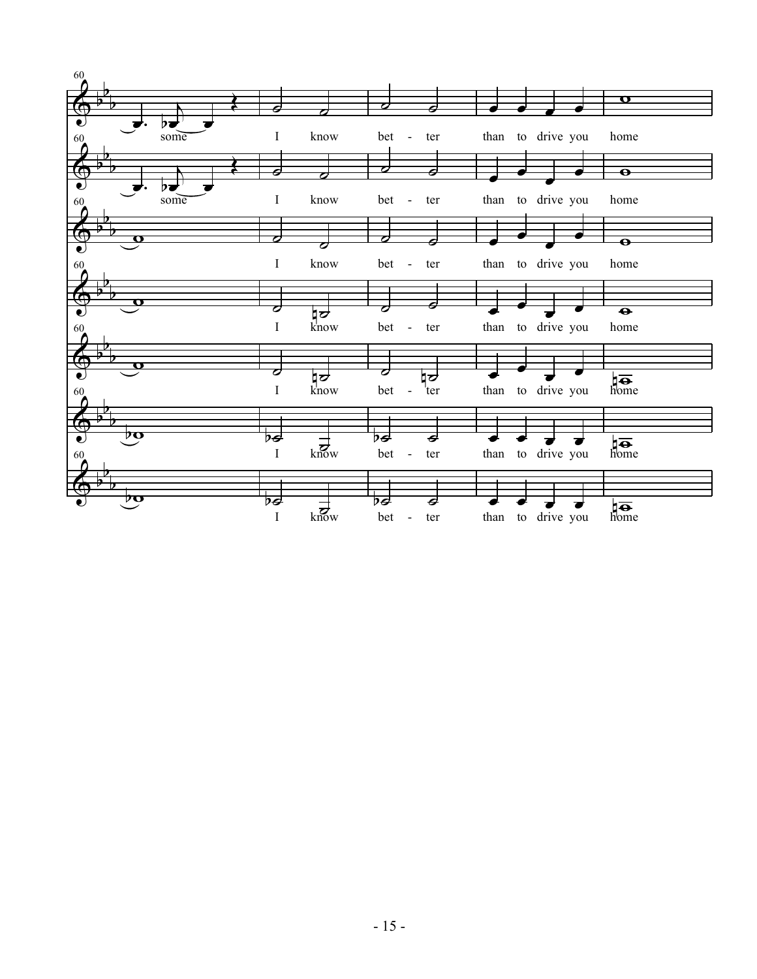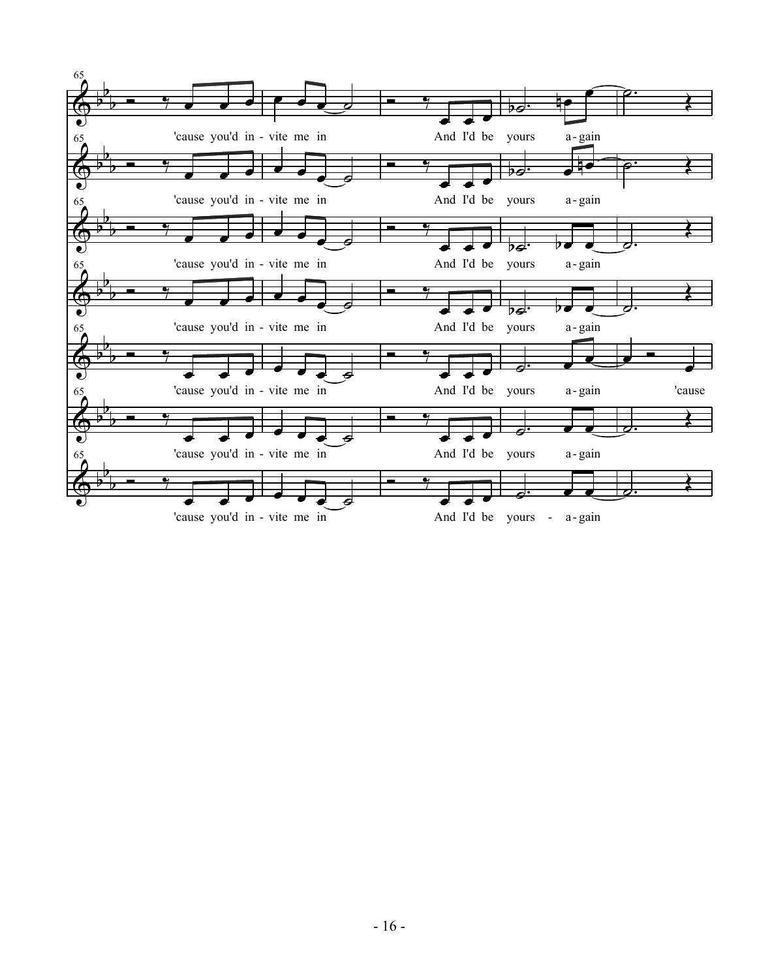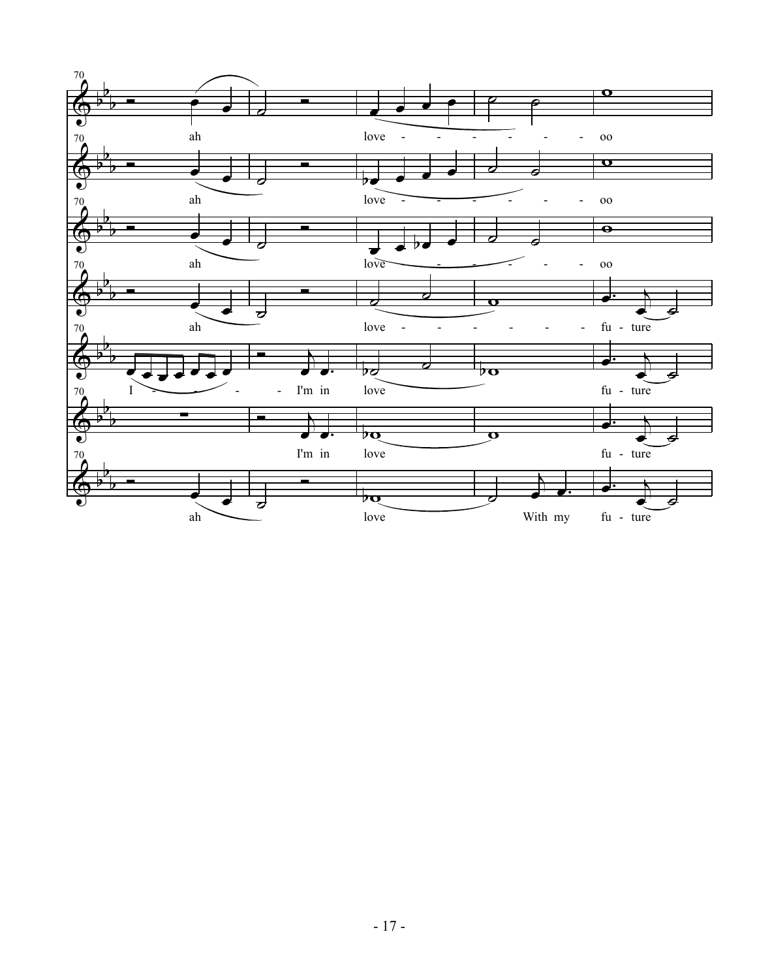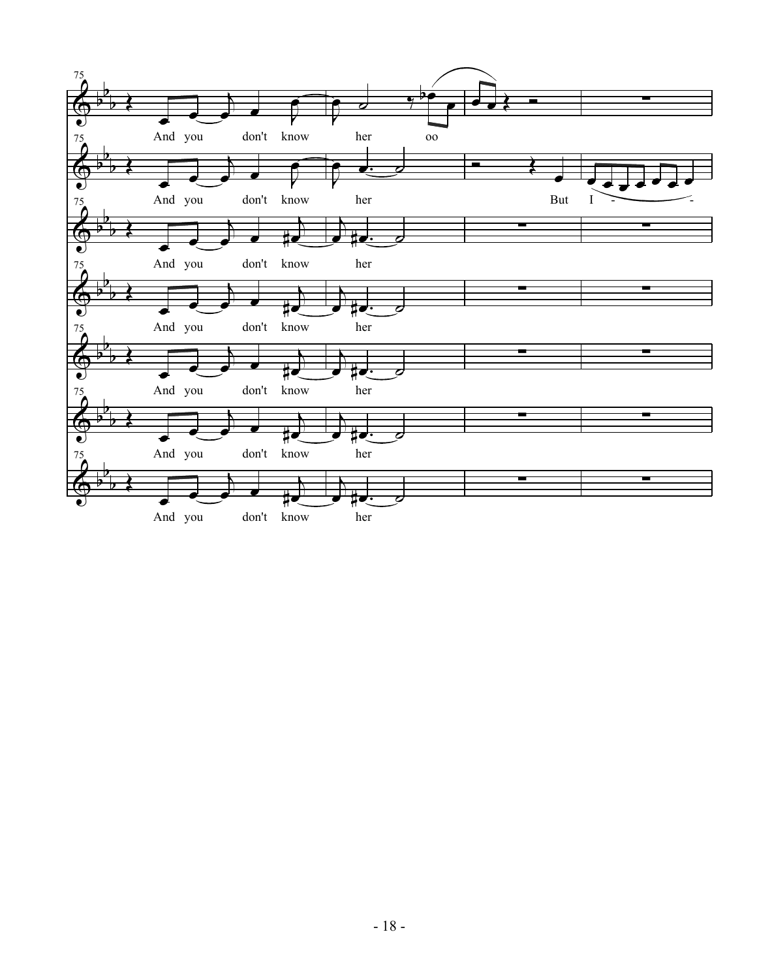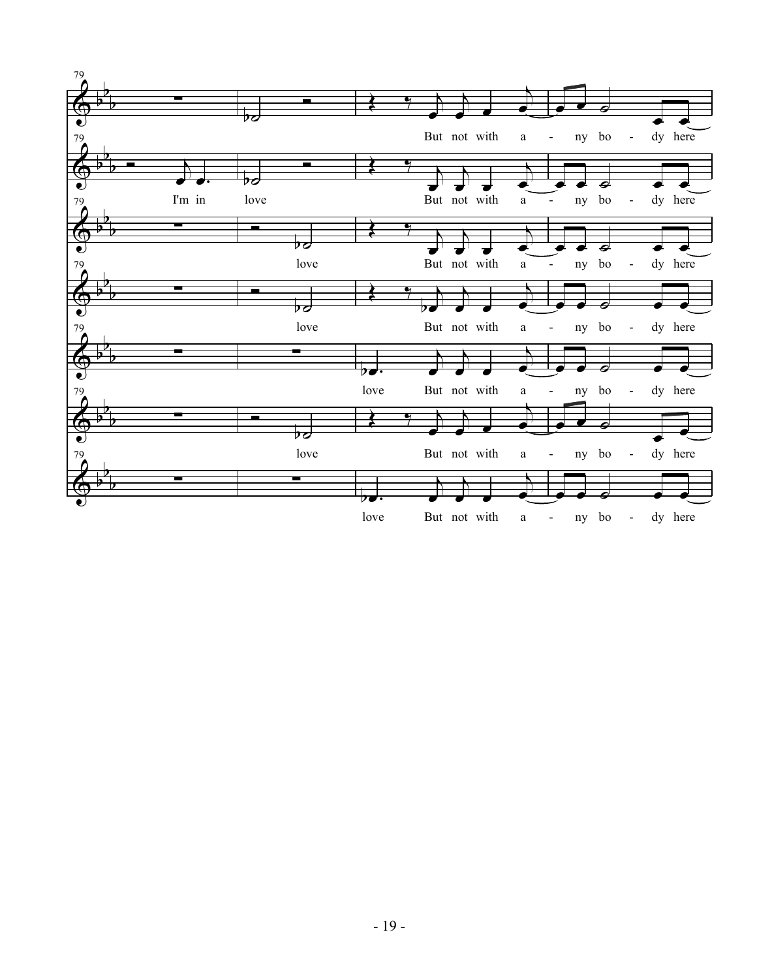